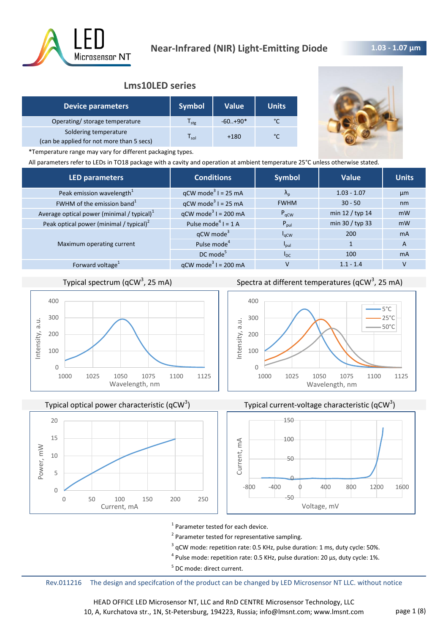

# **Lms10LED series**

| <b>Device parameters</b>                                           | <b>Symbol</b>    | <b>Value</b> | <b>Units</b> |
|--------------------------------------------------------------------|------------------|--------------|--------------|
| Operating/ storage temperature                                     | l <sub>stg</sub> | $-60+90*$    |              |
| Soldering temperature<br>(can be applied for not more than 5 secs) | l sol            | $+180$       | $\sim$       |



\*Temperature range may vary for different packaging types.

All parameters refer to LEDs in TO18 package with a cavity and operation at ambient temperature 25°C unless otherwise stated.

| <b>LED parameters</b>                         | <b>Conditions</b>                 | <b>Symbol</b>     | <b>Value</b>    | <b>Units</b>   |
|-----------------------------------------------|-----------------------------------|-------------------|-----------------|----------------|
| Peak emission wavelength <sup>1</sup>         | $qCW \text{ mode}^3$ I = 25 mA    | $\Lambda_{\rm n}$ | $1.03 - 1.07$   | µm             |
| FWHM of the emission band <sup>1</sup>        | $qCW \text{ mode}^3$ I = 25 mA    | <b>FWHM</b>       | $30 - 50$       | nm             |
| Average optical power (minimal / typical) $1$ | $qCW \text{ mode}^3$ I = 200 mA   | $P_{\text{aCW}}$  | min 12 / typ 14 | mW             |
| Peak optical power (minimal / typical) $2$    | Pulse mode <sup>4</sup> $I = 1$ A | $P_{\text{pul}}$  | min 30 / typ 33 | mW             |
|                                               | $qCW$ mode <sup>3</sup>           | $I_{\alpha CW}$   | 200             | m <sub>A</sub> |
| Maximum operating current                     | Pulse mode <sup>4</sup>           | $I_{\text{pul}}$  |                 | A              |
|                                               | DC mode <sup>5</sup>              | $I_{DC}$          | 100             | <b>mA</b>      |
| Forward voltage <sup>1</sup>                  | $qCW \text{ mode}^3$ I = 200 mA   | v                 | $1.1 - 1.4$     | v              |

# Typical spectrum (qCW<sup>3</sup>, 25 mA)



Typical optical power characteristic (qCW<sup>3</sup>)



Spectra at different temperatures (qCW<sup>3</sup>, 25 mA)







<sup>1</sup> Parameter tested for each device.

<sup>2</sup> Parameter tested for representative sampling.

 $3$  qCW mode: repetition rate: 0.5 KHz, pulse duration: 1 ms, duty cycle: 50%.

 $^4$  Pulse mode: repetition rate: 0.5 KHz, pulse duration: 20 µs, duty cycle: 1%.

<sup>5</sup> DC mode: direct current.

Rev.011216 The design and specifcation of the product can be changed by LED Microsensor NT LLC. without notice

HEAD OFFICE LED Microsensor NT, LLC and RnD CENTRE Microsensor Technology, LLC 10, A, Kurchatova str., 1N, St-Petersburg, 194223, Russia; info@lmsnt.com; www.lmsnt.com page 1 (8)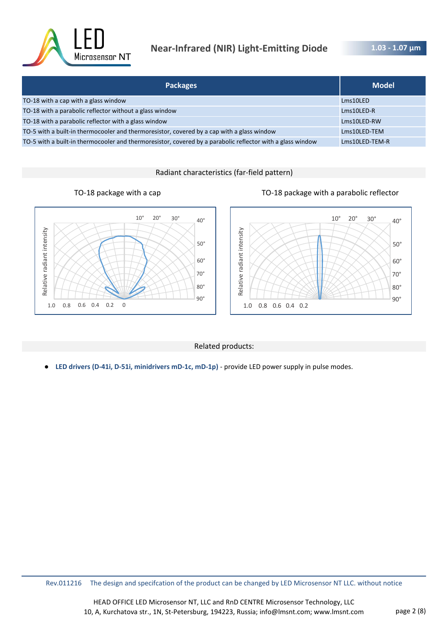

# **Near-Infrared (NIR) Light-Emitting Diode**

**1.03 - 1.07 μm** 

| <b>Packages</b>                                                                                            | <b>Model</b>   |
|------------------------------------------------------------------------------------------------------------|----------------|
| TO-18 with a cap with a glass window                                                                       | Lms10LED       |
| TO-18 with a parabolic reflector without a glass window                                                    | Lms10LED-R     |
| TO-18 with a parabolic reflector with a glass window                                                       | Lms10LED-RW    |
| TO-5 with a built-in thermocooler and thermoresistor, covered by a cap with a glass window                 | Lms10LED-TEM   |
| TO-5 with a built-in thermocooler and thermoresistor, covered by a parabolic reflector with a glass window | Lms10LED-TEM-R |

Radiant characteristics (far-field pattern)





#### Related products:

● **LED drivers (D-41i, D-51i, minidrivers mD-1c, mD-1p)** - provide LED power supply in pulse modes.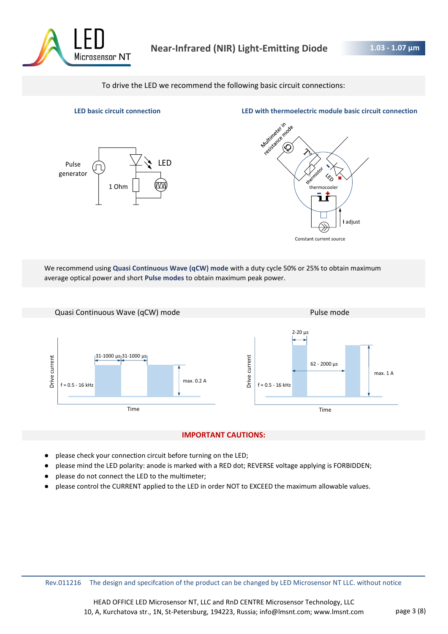

To drive the LED we recommend the following basic circuit connections:



**LED basic circuit connection LED with thermoelectric module basic circuit connection**



We recommend using **Quasi Continuous Wave (qCW) mode** with a duty cycle 50% or 25% to obtain maximum average optical power and short **Pulse modes** to obtain maximum peak power.



#### **IMPORTANT CAUTIONS:**

- please check your connection circuit before turning on the LED;
- please mind the LED polarity: anode is marked with a RED dot; REVERSE voltage applying is FORBIDDEN;
- please do not connect the LED to the multimeter;
- please control the CURRENT applied to the LED in order NOT to EXCEED the maximum allowable values.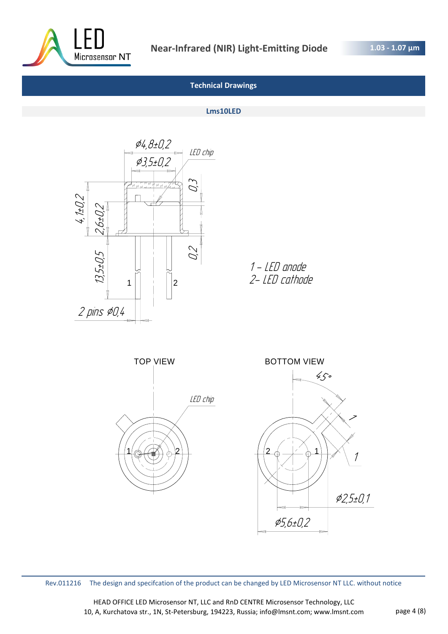

# **Technical Drawings**

#### **Lms10LED**



1 - LED anode 2- LED cathode



Rev.011216 The design and specifcation of the product can be changed by LED Microsensor NT LLC. without notice

HEAD OFFICE LED Microsensor NT, LLC and RnD CENTRE Microsensor Technology, LLC 10, A, Kurchatova str., 1N, St-Petersburg, 194223, Russia; info@lmsnt.com; www.lmsnt.com page 4 (8)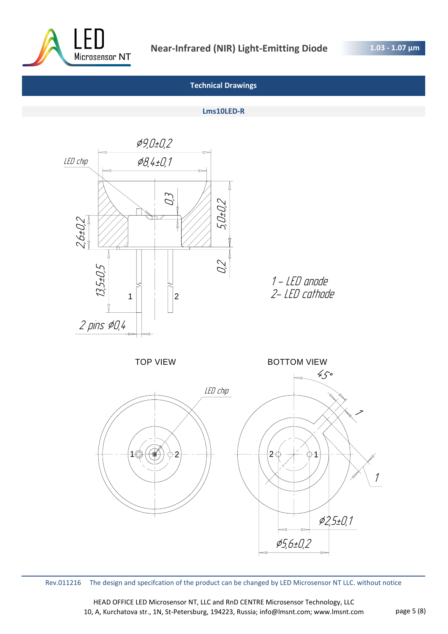

## **Technical Drawings**

#### **Lms10LED-R**



Rev.011216 The design and specifcation of the product can be changed by LED Microsensor NT LLC. without notice

HEAD OFFICE LED Microsensor NT, LLC and RnD CENTRE Microsensor Technology, LLC 10, A, Kurchatova str., 1N, St-Petersburg, 194223, Russia; info@lmsnt.com; www.lmsnt.com page 5 (8)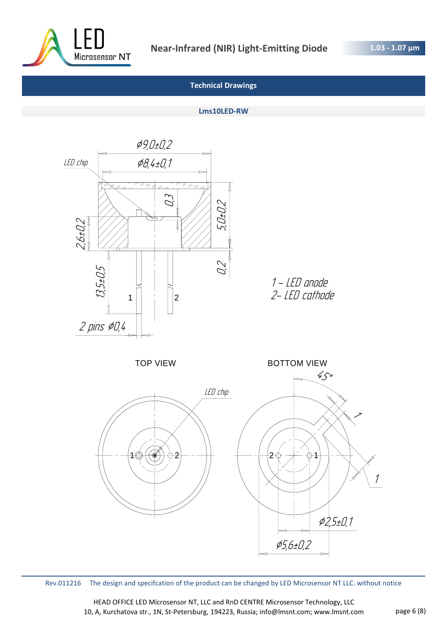

## **Technical Drawings**

#### **Lms10LED-RW**



Rev.011216 The design and specifcation of the product can be changed by LED Microsensor NT LLC. without notice

HEAD OFFICE LED Microsensor NT, LLC and RnD CENTRE Microsensor Technology, LLC 10, A, Kurchatova str., 1N, St-Petersburg, 194223, Russia; info@lmsnt.com; www.lmsnt.com page 6 (8)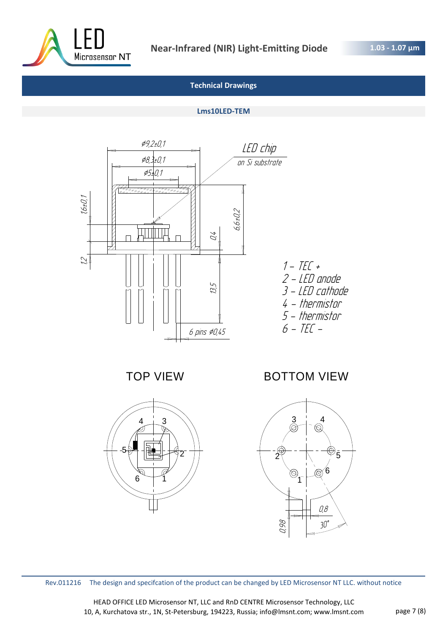

# **Technical Drawings**

#### **Lms10LED-TEM**



TOP VIEW



# BOTTOM VIEW



Rev.011216 The design and specifcation of the product can be changed by LED Microsensor NT LLC. without notice

HEAD OFFICE LED Microsensor NT, LLC and RnD CENTRE Microsensor Technology, LLC 10, A, Kurchatova str., 1N, St-Petersburg, 194223, Russia; info@lmsnt.com; www.lmsnt.com page 7 (8)